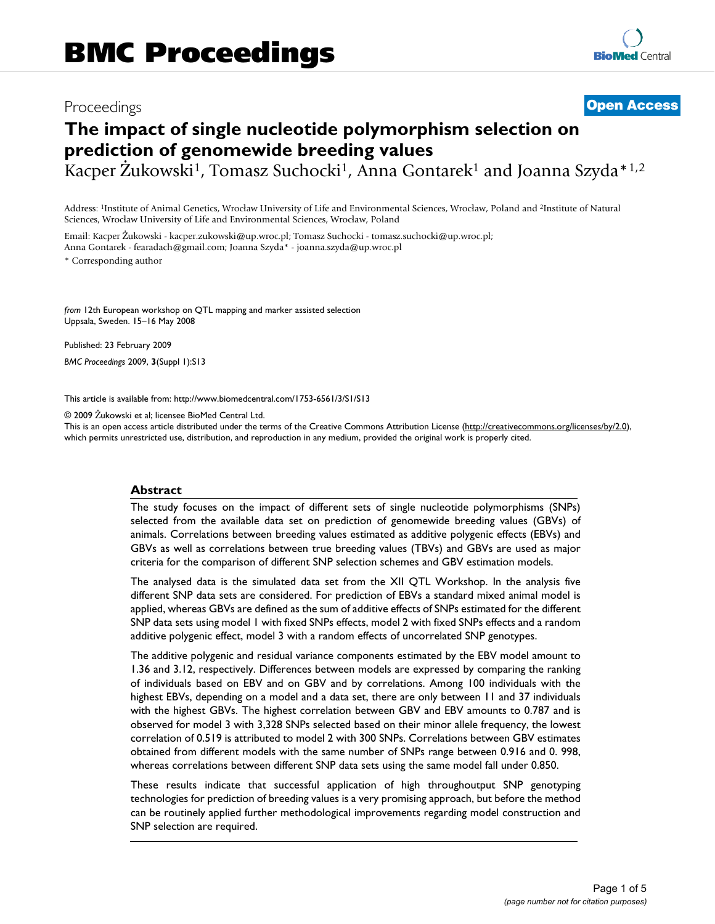## Proceedings **[Open Access](http://www.biomedcentral.com/info/about/charter/)**

# **The impact of single nucleotide polymorphism selection on prediction of genomewide breeding values**

Kacper Żukowski<sup>1</sup>, Tomasz Suchocki<sup>1</sup>, Anna Gontarek<sup>1</sup> and Joanna Szyda<sup>\*1,2</sup>

Address: 1Institute of Animal Genetics, Wrocław University of Life and Environmental Sciences, Wrocław, Poland and 2Institute of Natural Sciences, Wrocław University of Life and Environmental Sciences, Wrocław, Poland

Email: Kacper Żukowski - kacper.zukowski@up.wroc.pl; Tomasz Suchocki - tomasz.suchocki@up.wroc.pl; Anna Gontarek - fearadach@gmail.com; Joanna Szyda\* - joanna.szyda@up.wroc.pl \* Corresponding author

*from* 12th European workshop on QTL mapping and marker assisted selection Uppsala, Sweden. 15–16 May 2008

Published: 23 February 2009

*BMC Proceedings* 2009, **3**(Suppl 1):S13

[This article is available from: http://www.biomedcentral.com/1753-6561/3/S1/S13](http://www.biomedcentral.com/1753-6561/3/S1/S13)

© 2009 Żukowski et al; licensee BioMed Central Ltd.

This is an open access article distributed under the terms of the Creative Commons Attribution License [\(http://creativecommons.org/licenses/by/2.0\)](http://creativecommons.org/licenses/by/2.0), which permits unrestricted use, distribution, and reproduction in any medium, provided the original work is properly cited.

#### **Abstract**

The study focuses on the impact of different sets of single nucleotide polymorphisms (SNPs) selected from the available data set on prediction of genomewide breeding values (GBVs) of animals. Correlations between breeding values estimated as additive polygenic effects (EBVs) and GBVs as well as correlations between true breeding values (TBVs) and GBVs are used as major criteria for the comparison of different SNP selection schemes and GBV estimation models.

The analysed data is the simulated data set from the XII QTL Workshop. In the analysis five different SNP data sets are considered. For prediction of EBVs a standard mixed animal model is applied, whereas GBVs are defined as the sum of additive effects of SNPs estimated for the different SNP data sets using model 1 with fixed SNPs effects, model 2 with fixed SNPs effects and a random additive polygenic effect, model 3 with a random effects of uncorrelated SNP genotypes.

The additive polygenic and residual variance components estimated by the EBV model amount to 1.36 and 3.12, respectively. Differences between models are expressed by comparing the ranking of individuals based on EBV and on GBV and by correlations. Among 100 individuals with the highest EBVs, depending on a model and a data set, there are only between 11 and 37 individuals with the highest GBVs. The highest correlation between GBV and EBV amounts to 0.787 and is observed for model 3 with 3,328 SNPs selected based on their minor allele frequency, the lowest correlation of 0.519 is attributed to model 2 with 300 SNPs. Correlations between GBV estimates obtained from different models with the same number of SNPs range between 0.916 and 0. 998, whereas correlations between different SNP data sets using the same model fall under 0.850.

These results indicate that successful application of high throughoutput SNP genotyping technologies for prediction of breeding values is a very promising approach, but before the method can be routinely applied further methodological improvements regarding model construction and SNP selection are required.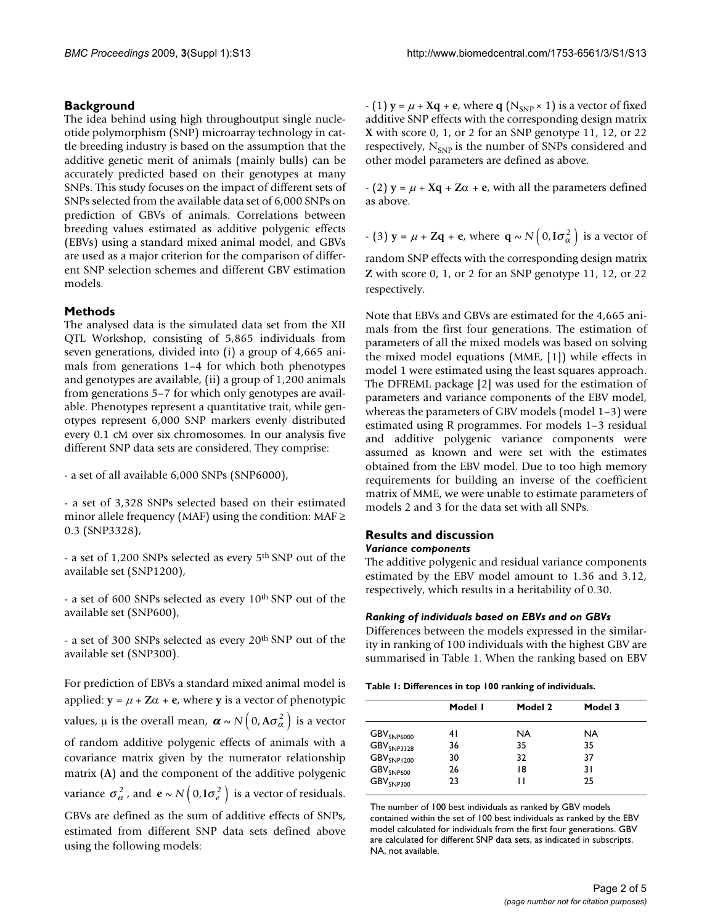#### **Background**

The idea behind using high throughoutput single nucleotide polymorphism (SNP) microarray technology in cattle breeding industry is based on the assumption that the additive genetic merit of animals (mainly bulls) can be accurately predicted based on their genotypes at many SNPs. This study focuses on the impact of different sets of SNPs selected from the available data set of 6,000 SNPs on prediction of GBVs of animals. Correlations between breeding values estimated as additive polygenic effects (EBVs) using a standard mixed animal model, and GBVs are used as a major criterion for the comparison of different SNP selection schemes and different GBV estimation models.

#### **Methods**

The analysed data is the simulated data set from the XII QTL Workshop, consisting of 5,865 individuals from seven generations, divided into (i) a group of 4,665 animals from generations 1–4 for which both phenotypes and genotypes are available, (ii) a group of 1,200 animals from generations 5–7 for which only genotypes are available. Phenotypes represent a quantitative trait, while genotypes represent 6,000 SNP markers evenly distributed every 0.1 cM over six chromosomes. In our analysis five different SNP data sets are considered. They comprise:

- a set of all available 6,000 SNPs (SNP6000),

- a set of 3,328 SNPs selected based on their estimated minor allele frequency (MAF) using the condition: MAF  $\geq$ 0.3 (SNP3328),

- a set of 1,200 SNPs selected as every 5th SNP out of the available set (SNP1200),

- a set of 600 SNPs selected as every 10th SNP out of the available set (SNP600),

- a set of 300 SNPs selected as every 20th SNP out of the available set (SNP300).

For prediction of EBVs a standard mixed animal model is applied:  $y = \mu + Z\alpha + e$ , where y is a vector of phenotypic values,  $\mu$  is the overall mean,  $\boldsymbol{\alpha} \sim N\Big($  0, A $\sigma_{\alpha}^{2}\Big)$  is a vector of random additive polygenic effects of animals with a covariance matrix given by the numerator relationship matrix (**A**) and the component of the additive polygenic variance  $\sigma_{\alpha}^2$ , and  $e \sim N(0, I\sigma_e^2)$  is a vector of residuals. GBVs are defined as the sum of additive effects of SNPs, estimated from different SNP data sets defined above using the following models:

 $(1)$  **y** =  $\mu$  + **Xq** + **e**, where **q** (N<sub>SNP</sub> × 1) is a vector of fixed additive SNP effects with the corresponding design matrix **X** with score 0, 1, or 2 for an SNP genotype 11, 12, or 22 respectively,  $N_{SNP}$  is the number of SNPs considered and other model parameters are defined as above.

 $-(2)$  **y** =  $\mu$  + **Xq** + **Z** $\alpha$  + **e**, with all the parameters defined as above.

- (3) 
$$
y = \mu + Zq + e
$$
, where  $q \sim N(0, I\sigma_{\alpha}^2)$  is a vector of

random SNP effects with the corresponding design matrix **Z** with score 0, 1, or 2 for an SNP genotype 11, 12, or 22 respectively.

Note that EBVs and GBVs are estimated for the 4,665 animals from the first four generations. The estimation of parameters of all the mixed models was based on solving the mixed model equations (MME, [1]) while effects in model 1 were estimated using the least squares approach. The DFREML package [2] was used for the estimation of parameters and variance components of the EBV model, whereas the parameters of GBV models (model 1–3) were estimated using R programmes. For models 1–3 residual and additive polygenic variance components were assumed as known and were set with the estimates obtained from the EBV model. Due to too high memory requirements for building an inverse of the coefficient matrix of MME, we were unable to estimate parameters of models 2 and 3 for the data set with all SNPs.

#### **Results and discussion** *Variance components*

The additive polygenic and residual variance components estimated by the EBV model amount to 1.36 and 3.12, respectively, which results in a heritability of 0.30.

#### *Ranking of individuals based on EBVs and on GBVs*

Differences between the models expressed in the similarity in ranking of 100 individuals with the highest GBV are summarised in Table 1. When the ranking based on EBV

| Table 1: Differences in top 100 ranking of individuals. |  |
|---------------------------------------------------------|--|
|---------------------------------------------------------|--|

|                                   | Model I | Model 2 | Model 3 |
|-----------------------------------|---------|---------|---------|
| $\mathsf{GBV}_{\mathsf{SNP6000}}$ | 4 I     | NA.     | NA.     |
| GBV <sub>SNP3328</sub>            | 36      | 35      | 35      |
| $GBV_{SNP1200}$                   | 30      | 32      | 37      |
| GBV <sub>SNP600</sub>             | 26      | 18      | 31      |
| $\textsf{GBV}_{\textsf{SNP300}}$  | 23      | н       | 25      |

The number of 100 best individuals as ranked by GBV models contained within the set of 100 best individuals as ranked by the EBV model calculated for individuals from the first four generations. GBV are calculated for different SNP data sets, as indicated in subscripts. NA, not available.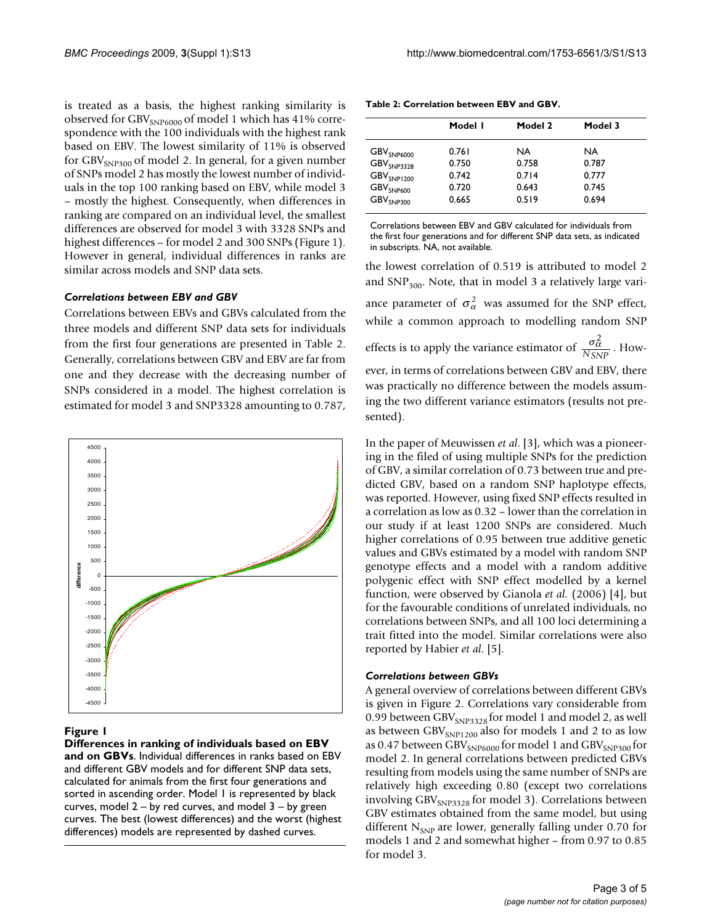is treated as a basis, the highest ranking similarity is observed for GBV<sub>SNP6000</sub> of model 1 which has 41% correspondence with the 100 individuals with the highest rank based on EBV. The lowest similarity of 11% is observed for GBV<sub>SNP300</sub> of model 2. In general, for a given number of SNPs model 2 has mostly the lowest number of individuals in the top 100 ranking based on EBV, while model 3 – mostly the highest. Consequently, when differences in ranking are compared on an individual level, the smallest differences are observed for model 3 with 3328 SNPs and highest differences – for model 2 and 300 SNPs (Figure 1). However in general, individual differences in ranks are similar across models and SNP data sets.

#### *Correlations between EBV and GBV*

Correlations between EBVs and GBVs calculated from the three models and different SNP data sets for individuals from the first four generations are presented in Table 2. Generally, correlations between GBV and EBV are far from one and they decrease with the decreasing number of SNPs considered in a model. The highest correlation is estimated for model 3 and SNP3328 amounting to 0.787,



#### **Figure I**

**Differences in ranking of individuals based on EBV and on GBVs**. Individual differences in ranks based on EBV and different GBV models and for different SNP data sets, calculated for animals from the first four generations and sorted in ascending order. Model 1 is represented by black curves, model  $2 - by$  red curves, and model  $3 - by$  green curves. The best (lowest differences) and the worst (highest differences) models are represented by dashed curves.

|                                  | Model I | Model 2 | Model 3 |
|----------------------------------|---------|---------|---------|
| $\text{GBV}_{\text{SNP6000}}$    | 0.761   | NA.     | NA.     |
| GBV <sub>SNP3328</sub>           | 0.750   | 0.758   | 0.787   |
| $GBV_{SNP1200}$                  | 0.742   | 0.714   | 0.777   |
| $\text{GBV}_{\text{SNP600}}$     | 0.720   | 0.643   | 0.745   |
| $\textsf{GBV}_{\textsf{SNP300}}$ | 0.665   | 0.519   | 0.694   |

**Table 2: Correlation between EBV and GBV.**

Correlations between EBV and GBV calculated for individuals from the first four generations and for different SNP data sets, as indicated in subscripts. NA, not available.

the lowest correlation of 0.519 is attributed to model 2 and  $SNP_{300}$ . Note, that in model 3 a relatively large variance parameter of  $\sigma_{\alpha}^2$  was assumed for the SNP effect, while a common approach to modelling random SNP effects is to apply the variance estimator of  $\frac{\sigma_{\alpha}^2}{N_{\text{GUP}}}$ . However, in terms of correlations between GBV and EBV, there was practically no difference between the models assuming the two different variance estimators (results not presented). *NSNP*

In the paper of Meuwissen *et al*. [3], which was a pioneering in the filed of using multiple SNPs for the prediction of GBV, a similar correlation of 0.73 between true and predicted GBV, based on a random SNP haplotype effects, was reported. However, using fixed SNP effects resulted in a correlation as low as 0.32 – lower than the correlation in our study if at least 1200 SNPs are considered. Much higher correlations of 0.95 between true additive genetic values and GBVs estimated by a model with random SNP genotype effects and a model with a random additive polygenic effect with SNP effect modelled by a kernel function, were observed by Gianola *et al.* (2006) [4], but for the favourable conditions of unrelated individuals, no correlations between SNPs, and all 100 loci determining a trait fitted into the model. Similar correlations were also reported by Habier *et al*. [5].

#### *Correlations between GBVs*

A general overview of correlations between different GBVs is given in Figure 2. Correlations vary considerable from 0.99 between GBV $_{SNP3328}$  for model 1 and model 2, as well as between  $GBV_{SNP1200}$  also for models 1 and 2 to as low as 0.47 between GBV<sub>SNP6000</sub> for model 1 and GBV<sub>SNP300</sub> for model 2. In general correlations between predicted GBVs resulting from models using the same number of SNPs are relatively high exceeding 0.80 (except two correlations involving  $GBV_{SNP3328}$  for model 3). Correlations between GBV estimates obtained from the same model, but using different  $N_{SNP}$  are lower, generally falling under 0.70 for models 1 and 2 and somewhat higher – from 0.97 to 0.85 for model 3.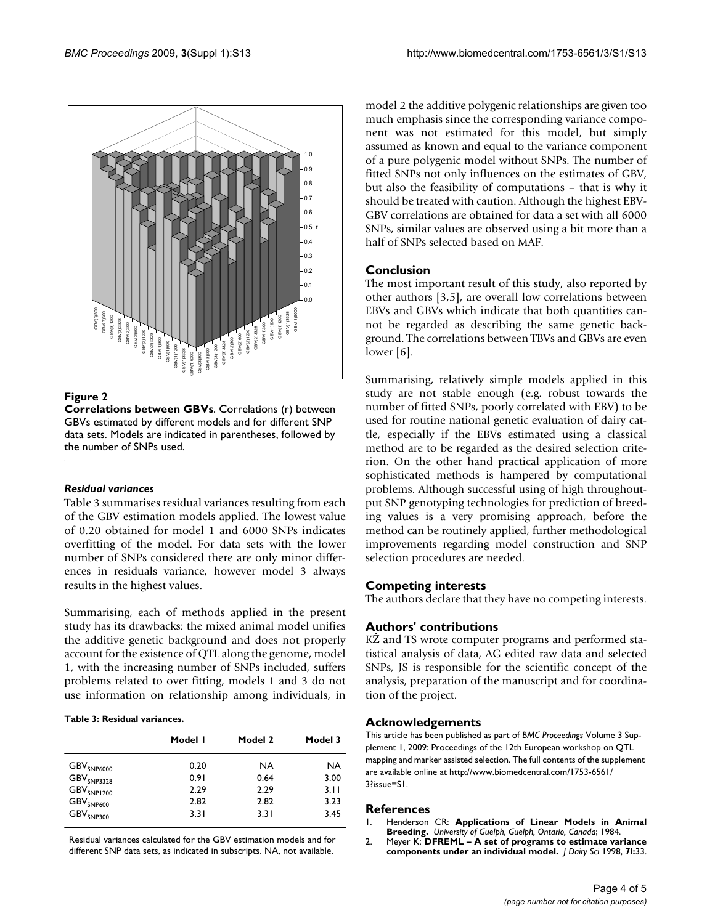

#### **Figure 2**

**Correlations between GBVs**. Correlations (r) between GBVs estimated by different models and for different SNP data sets. Models are indicated in parentheses, followed by the number of SNPs used.

#### *Residual variances*

Table 3 summarises residual variances resulting from each of the GBV estimation models applied. The lowest value of 0.20 obtained for model 1 and 6000 SNPs indicates overfitting of the model. For data sets with the lower number of SNPs considered there are only minor differences in residuals variance, however model 3 always results in the highest values.

Summarising, each of methods applied in the present study has its drawbacks: the mixed animal model unifies the additive genetic background and does not properly account for the existence of QTL along the genome, model 1, with the increasing number of SNPs included, suffers problems related to over fitting, models 1 and 3 do not use information on relationship among individuals, in

#### **Table 3: Residual variances.**

|                               | Model I | Model 2 | Model 3   |
|-------------------------------|---------|---------|-----------|
| $\text{GBV}_{\text{SNP6000}}$ | 0.20    | NA.     | <b>NA</b> |
| $\text{GBV}_{\text{SNP3328}}$ | 0.91    | 0.64    | 3.00      |
| $\text{GBV}_{\text{SNP1200}}$ | 2.29    | 2.29    | 3.11      |
| GBV <sub>SNP600</sub>         | 2.82    | 2.82    | 3.23      |
| $\text{GBV}_{\text{SNP300}}$  | 3.31    | 3.31    | 3.45      |

Residual variances calculated for the GBV estimation models and for different SNP data sets, as indicated in subscripts. NA, not available.

model 2 the additive polygenic relationships are given too much emphasis since the corresponding variance component was not estimated for this model, but simply assumed as known and equal to the variance component of a pure polygenic model without SNPs. The number of fitted SNPs not only influences on the estimates of GBV, but also the feasibility of computations – that is why it should be treated with caution. Although the highest EBV-GBV correlations are obtained for data a set with all 6000 SNPs, similar values are observed using a bit more than a half of SNPs selected based on MAF.

#### **Conclusion**

The most important result of this study, also reported by other authors [3,5], are overall low correlations between EBVs and GBVs which indicate that both quantities cannot be regarded as describing the same genetic background. The correlations between TBVs and GBVs are even lower [6].

Summarising, relatively simple models applied in this study are not stable enough (e.g. robust towards the number of fitted SNPs, poorly correlated with EBV) to be used for routine national genetic evaluation of dairy cattle, especially if the EBVs estimated using a classical method are to be regarded as the desired selection criterion. On the other hand practical application of more sophisticated methods is hampered by computational problems. Although successful using of high throughoutput SNP genotyping technologies for prediction of breeding values is a very promising approach, before the method can be routinely applied, further methodological improvements regarding model construction and SNP selection procedures are needed.

### **Competing interests**

The authors declare that they have no competing interests.

#### **Authors' contributions**

KŻ and TS wrote computer programs and performed statistical analysis of data, AG edited raw data and selected SNPs, JS is responsible for the scientific concept of the analysis, preparation of the manuscript and for coordination of the project.

#### **Acknowledgements**

This article has been published as part of *BMC Proceedings* Volume 3 Supplement 1, 2009: Proceedings of the 12th European workshop on QTL mapping and marker assisted selection. The full contents of the supplement are available online at [http://www.biomedcentral.com/1753-6561/](http://www.biomedcentral.com/1753-6561/3?issue=S1) [3?issue=S1.](http://www.biomedcentral.com/1753-6561/3?issue=S1)

#### **References**

- 1. Henderson CR: **Applications of Linear Models in Animal Breeding.** *University of Guelph, Guelph, Ontario, Canada*; 1984.
- 2. Meyer K: **DFREML A set of programs to estimate variance components under an individual model.** *J Dairy Sci* 1998, **7l:**33.